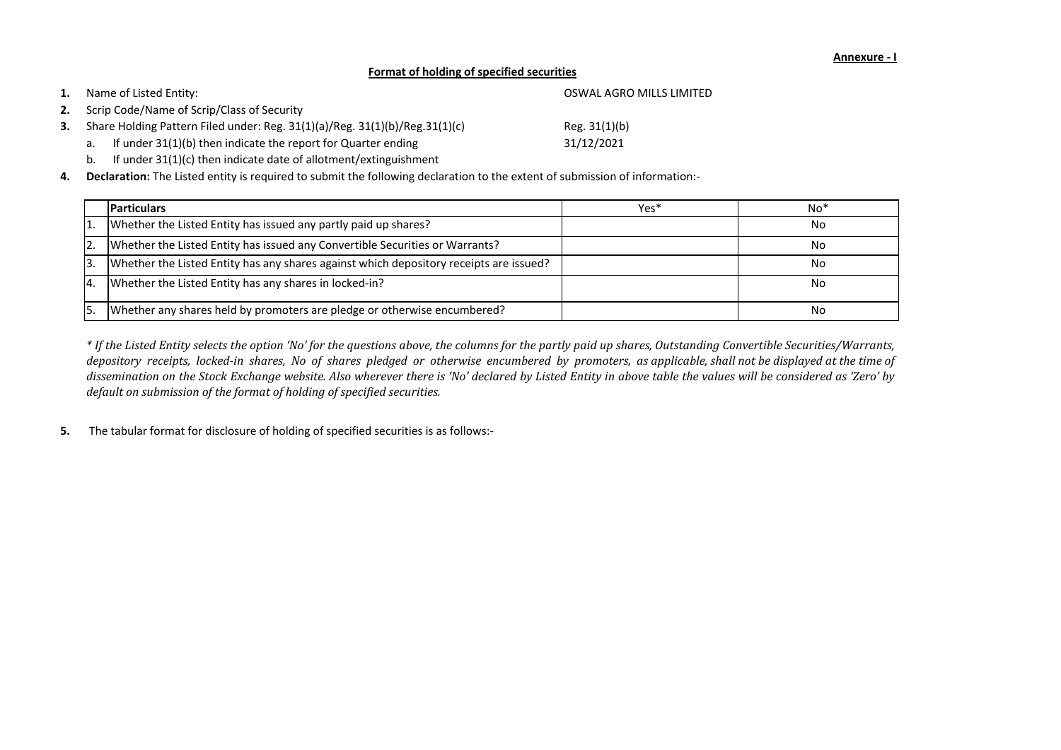- b. If under 31(1)(c) then indicate date of allotment/extinguishment
- **4. Declaration:** The Listed entity is required to submit the following declaration to the extent of submission of information:-

**5.** The tabular format for disclosure of holding of specified securities is as follows:-

\* If the Listed Entity selects the option 'No' for the questions above, the columns for the partly paid up shares, Outstanding Convertible Securities/Warrants, depository receipts, locked-in shares, No of shares pledged or otherwise encumbered by promoters, as applicable, shall not be displayed at the time of dissemination on the Stock Exchange website. Also wherever there is 'No' declared by Listed Entity in above table the values will be considered as 'Zero' by *default on submission of the format of holding of specified securities.*

|           | <b>Particulars</b>                                                                     | Yes* | $No*$ |
|-----------|----------------------------------------------------------------------------------------|------|-------|
|           | Whether the Listed Entity has issued any partly paid up shares?                        |      | No    |
| <b>2.</b> | Whether the Listed Entity has issued any Convertible Securities or Warrants?           |      | No    |
| 3.        | Whether the Listed Entity has any shares against which depository receipts are issued? |      | No    |
| I4.       | Whether the Listed Entity has any shares in locked-in?                                 |      | No    |
|           | Whether any shares held by promoters are pledge or otherwise encumbered?               |      | No    |

| 1. | Name of Listed Entity:                                                      | OSWAL AGRO MILLS LIMITED |
|----|-----------------------------------------------------------------------------|--------------------------|
|    | 2. Scrip Code/Name of Scrip/Class of Security                               |                          |
| 3. | Share Holding Pattern Filed under: Reg. 31(1)(a)/Reg. 31(1)(b)/Reg.31(1)(c) | Reg. $31(1)(b)$          |
|    | a. If under $31(1)(b)$ then indicate the report for Quarter ending          | 31/12/2021               |

## **Annexure - I**

## **Format of holding of specified securities**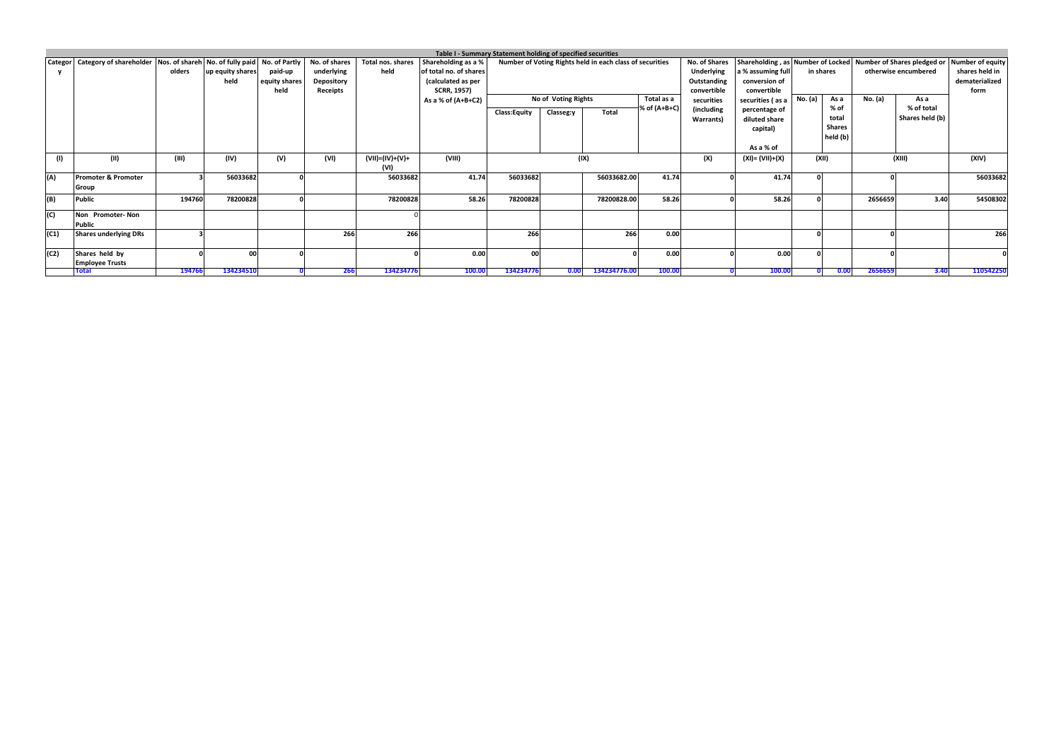|      |                                                                                        |        |                  |               |                   |                   |                        | Table I - Summary Statement holding of specified securities |                     |                                                          |              |                      |                   |                                                                                |         |                      |                |
|------|----------------------------------------------------------------------------------------|--------|------------------|---------------|-------------------|-------------------|------------------------|-------------------------------------------------------------|---------------------|----------------------------------------------------------|--------------|----------------------|-------------------|--------------------------------------------------------------------------------|---------|----------------------|----------------|
|      | Categor   Category of shareholder   Nos. of shareh   No. of fully paid   No. of Partly |        |                  |               | No. of shares     | Total nos. shares | Shareholding as a %    |                                                             |                     | Number of Voting Rights held in each class of securities |              | <b>No. of Shares</b> |                   | Shareholding, as Number of Locked Number of Shares pledged or Number of equity |         |                      |                |
|      |                                                                                        | olders | up equity shares | paid-up       | underlying        | held              | of total no. of shares |                                                             |                     |                                                          |              | Underlying           | a % assuming full | in shares                                                                      |         | otherwise encumbered | shares held in |
|      |                                                                                        |        | held             | equity shares | <b>Depository</b> |                   | (calculated as per     |                                                             |                     |                                                          |              | Outstanding          | conversion of     |                                                                                |         |                      | dematerialized |
|      |                                                                                        |        |                  | held          | Receipts          |                   | <b>SCRR, 1957)</b>     |                                                             |                     |                                                          |              | convertible          | convertible       |                                                                                |         |                      | form           |
|      |                                                                                        |        |                  |               |                   |                   | As a % of $(A+B+C2)$   |                                                             | No of Voting Rights |                                                          | Total as a   | securities           | securities (as a  | No. (a)<br>As a                                                                | No. (a) | As a                 |                |
|      |                                                                                        |        |                  |               |                   |                   |                        |                                                             |                     | Total                                                    | % of (A+B+C) | (including           | percentage of     | % of                                                                           |         | % of total           |                |
|      |                                                                                        |        |                  |               |                   |                   |                        | <b>Class:Equity</b>                                         | Classeg:y           |                                                          |              | Warrants)            | diluted share     | total                                                                          |         | Shares held (b)      |                |
|      |                                                                                        |        |                  |               |                   |                   |                        |                                                             |                     |                                                          |              |                      | capital)          | <b>Shares</b>                                                                  |         |                      |                |
|      |                                                                                        |        |                  |               |                   |                   |                        |                                                             |                     |                                                          |              |                      |                   | held (b)                                                                       |         |                      |                |
|      |                                                                                        |        |                  |               |                   |                   |                        |                                                             |                     |                                                          |              |                      | As a % of         |                                                                                |         |                      |                |
| (1)  | (II)                                                                                   | (III)  | (IV)             | (V)           | (VI)              | (VII)=(IV)+(V)+   | (VIII)                 |                                                             |                     | (IX)                                                     |              | (X)                  | (XI)= (VII)+(X)   | (XII)                                                                          |         | (XIII)               | (XIV)          |
|      |                                                                                        |        |                  |               |                   | (VI)              |                        |                                                             |                     |                                                          |              |                      |                   |                                                                                |         |                      |                |
| (A)  | <b>Promoter &amp; Promoter</b>                                                         |        | 56033682         |               |                   | 56033682          | 41.74                  | 56033682                                                    |                     | 56033682.00                                              | 41.74        |                      | 41.74             |                                                                                |         |                      | 56033682       |
|      | Group                                                                                  |        |                  |               |                   |                   |                        |                                                             |                     |                                                          |              |                      |                   |                                                                                |         |                      |                |
| (B)  | <b>Public</b>                                                                          | 194760 | 78200828         |               |                   | 78200828          | 58.26                  | 78200828                                                    |                     | 78200828.00                                              | 58.26        |                      | 58.26             |                                                                                | 2656659 | 3.40                 | 54508302       |
| (C)  | Non Promoter-Non                                                                       |        |                  |               |                   |                   |                        |                                                             |                     |                                                          |              |                      |                   |                                                                                |         |                      |                |
|      | <b>Public</b>                                                                          |        |                  |               |                   |                   |                        |                                                             |                     |                                                          |              |                      |                   |                                                                                |         |                      |                |
| (C1) | <b>Shares underlying DRs</b>                                                           |        |                  |               | 266               | 266               |                        | 266                                                         |                     | 266                                                      | 0.00         |                      |                   |                                                                                |         |                      | 266            |
| (C2) | Shares held by                                                                         |        | 00               |               |                   |                   | 0.00                   | 00                                                          |                     |                                                          | 0.00         |                      | 0.00              |                                                                                |         |                      |                |
|      | <b>Employee Trusts</b>                                                                 |        |                  |               |                   |                   |                        |                                                             |                     |                                                          |              |                      |                   |                                                                                |         |                      |                |
|      | <b>Total</b>                                                                           | 194766 | 134234510        |               | 266               | 134234776         | 100.00                 | 134234776                                                   | 0.00                | 134234776.00                                             | 100.00       |                      | 100.00            | 0.00                                                                           | 2656659 | 3.40                 | 110542250      |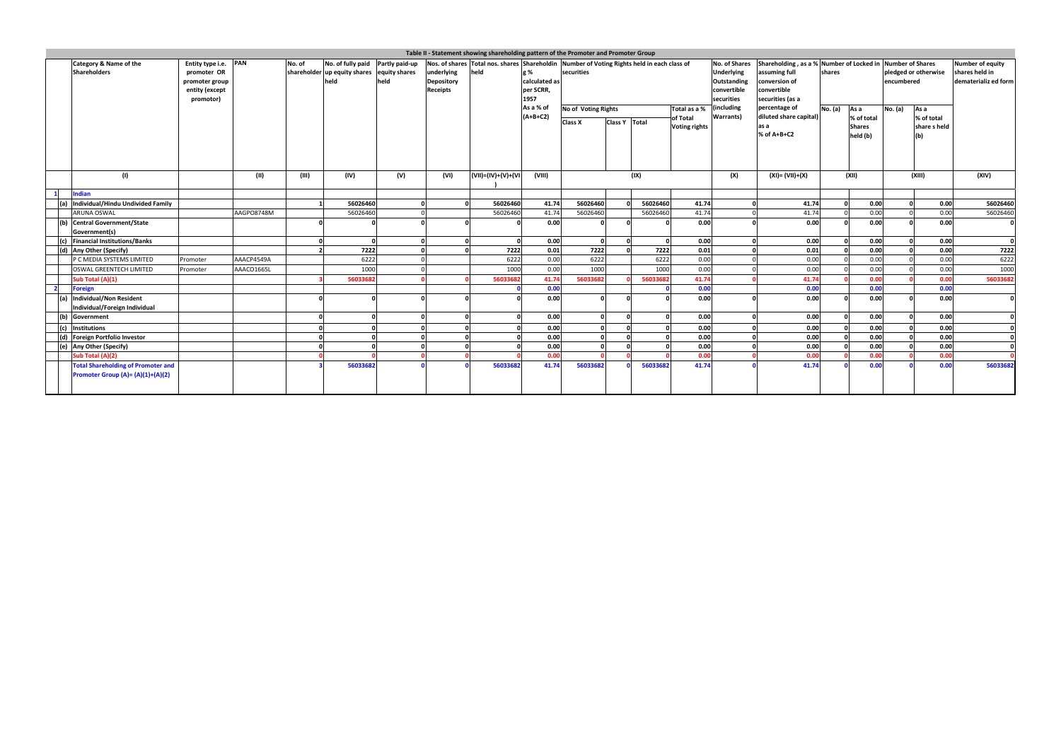|                | Table II - Statement showing shareholding pattern of the Promoter and Promoter Group<br>Shareholding, as a % Number of Locked in Number of Shares<br>Nos. of shares Total nos. shares Shareholdin Number of Voting Rights held in each class of |                                                                                      |            |        |                                                                         |                        |                                                    |                    |                                                        |                                       |                 |          |                                                                                                     |                                                                                    |         |                                                 |                                    |                                           |                                                                   |
|----------------|-------------------------------------------------------------------------------------------------------------------------------------------------------------------------------------------------------------------------------------------------|--------------------------------------------------------------------------------------|------------|--------|-------------------------------------------------------------------------|------------------------|----------------------------------------------------|--------------------|--------------------------------------------------------|---------------------------------------|-----------------|----------|-----------------------------------------------------------------------------------------------------|------------------------------------------------------------------------------------|---------|-------------------------------------------------|------------------------------------|-------------------------------------------|-------------------------------------------------------------------|
|                | Category & Name of the<br><b>Shareholders</b>                                                                                                                                                                                                   | Entity type i.e. PAN<br>promoter OR<br>promoter group<br>entity (except<br>promotor) |            | No. of | No. of fully paid<br>shareholder up equity shares equity shares<br>held | Partly paid-up<br>held | underlying<br><b>Depository</b><br><b>Receipts</b> | held               | g %<br>calculated as<br>per SCRR,<br>1957<br>As a % of | securities                            |                 |          | <b>No. of Shares</b><br><b>Underlying</b><br>Outstanding<br>convertible<br>securities<br>(including | assuming full<br>conversion of<br>convertible<br>securities (as a<br>percentage of | shares  |                                                 | pledged or otherwise<br>encumbered |                                           | <b>Number of equity</b><br>shares held in<br>dematerializ ed form |
|                |                                                                                                                                                                                                                                                 |                                                                                      |            |        |                                                                         |                        |                                                    |                    | $(A+B+C2)$                                             | No of Voting Rights<br><b>Class X</b> | Class Y   Total |          | Total as a %<br><b>Warrants</b> )<br>of Total<br><b>Voting rights</b>                               | diluted share capital)<br>as a<br>% of A+B+C2                                      | No. (a) | As a<br>% of total<br><b>Shares</b><br>held (b) | No. (a)                            | As a<br>% of total<br>share s held<br>(b) |                                                                   |
| $\mathbf{1}$   | (1)<br>Indian                                                                                                                                                                                                                                   |                                                                                      | (II)       | (III)  | (IV)                                                                    | (V)                    | (VI)                                               | (VII)=(IV)+(V)+(VI | (VIII)                                                 |                                       |                 | (IX)     | (X)                                                                                                 | (XI)= (VII)+(X)                                                                    |         | (XII)                                           |                                    | (XIII)                                    | (XIV)                                                             |
|                | (a) Individual/Hindu Undivided Family                                                                                                                                                                                                           |                                                                                      |            |        | 56026460                                                                |                        |                                                    | 56026460           | 41.74                                                  | 56026460                              |                 | 56026460 | 41.74                                                                                               | 41.74                                                                              |         | 0.00                                            |                                    | 0.00                                      | 56026460                                                          |
|                | <b>ARUNA OSWAL</b>                                                                                                                                                                                                                              |                                                                                      | AAGPO8748M |        | 56026460                                                                |                        |                                                    | 56026460           | 41.74                                                  | 56026460                              |                 | 56026460 | 41.74                                                                                               | 41.74                                                                              |         | 0.00                                            |                                    | 0.00                                      | 56026460                                                          |
|                | (b) Central Government/State<br>Government(s)                                                                                                                                                                                                   |                                                                                      |            |        |                                                                         |                        |                                                    |                    | 0.00                                                   |                                       |                 |          | 0.00                                                                                                | 0.00                                                                               |         | 0.00                                            |                                    | 0.00                                      |                                                                   |
|                | (c) Financial Institutions/Banks                                                                                                                                                                                                                |                                                                                      |            |        |                                                                         |                        |                                                    | $\Omega$           | 0.00                                                   |                                       |                 |          | 0.00                                                                                                | 0.00                                                                               |         | 0.00                                            |                                    | 0.00                                      | $\Omega$                                                          |
|                | (d) Any Other (Specify)                                                                                                                                                                                                                         |                                                                                      |            |        | 7222                                                                    |                        |                                                    | 7222               | 0.01                                                   | 7222                                  |                 | 7222     | 0.01                                                                                                | 0.01                                                                               |         | 0.00                                            |                                    | 0.00                                      | 7222                                                              |
|                | P C MEDIA SYSTEMS LIMITED                                                                                                                                                                                                                       | Promoter                                                                             | AAACP4549A |        | 6222                                                                    |                        |                                                    | 6222               | 0.00                                                   | 6222                                  |                 | 6222     | 0.00                                                                                                | 0.00                                                                               |         | 0.00                                            |                                    | 0.00                                      | 6222                                                              |
|                | <b>OSWAL GREENTECH LIMITED</b>                                                                                                                                                                                                                  | Promoter                                                                             | AAACO1665L |        | 1000                                                                    |                        |                                                    | 1000               | 0.00                                                   | 1000                                  |                 | 1000     | 0.00                                                                                                | 0.00                                                                               |         | 0.00                                            |                                    | 0.00                                      | 1000                                                              |
|                | Sub Total (A)(1)                                                                                                                                                                                                                                |                                                                                      |            |        | 56033682                                                                |                        |                                                    | 56033682           | 41.74                                                  | 56033682                              |                 | 56033682 | 41.74                                                                                               | 41.74                                                                              |         | 0.00                                            |                                    | 0.00                                      | 56033682                                                          |
| $\overline{2}$ | <b>Foreign</b>                                                                                                                                                                                                                                  |                                                                                      |            |        |                                                                         |                        |                                                    |                    | 0.00                                                   |                                       |                 |          | 0.00                                                                                                | 0.00                                                                               |         | 0.00                                            |                                    | 0.00                                      |                                                                   |
|                | (a) Individual/Non Resident<br>Individual/Foreign Individual                                                                                                                                                                                    |                                                                                      |            |        |                                                                         |                        |                                                    |                    | 0.00                                                   |                                       |                 |          | 0.00                                                                                                | 0.00                                                                               |         | 0.00                                            |                                    | 0.00                                      |                                                                   |
| (b)            | Government                                                                                                                                                                                                                                      |                                                                                      |            |        |                                                                         |                        |                                                    |                    | 0.00                                                   |                                       |                 |          | 0.00                                                                                                | 0.00                                                                               |         | 0.00                                            |                                    | 0.00                                      |                                                                   |
|                | (c) Institutions                                                                                                                                                                                                                                |                                                                                      |            |        |                                                                         |                        |                                                    |                    | 0.00                                                   |                                       |                 |          | 0.00                                                                                                | 0.00                                                                               |         | 0.00                                            |                                    | 0.00                                      |                                                                   |
|                | (d) Foreign Portfolio Investor                                                                                                                                                                                                                  |                                                                                      |            |        |                                                                         |                        |                                                    |                    | 0.00                                                   |                                       |                 |          | 0.00                                                                                                | 0.00                                                                               |         | 0.00                                            |                                    | 0.00                                      |                                                                   |
|                | (e) Any Other (Specify)                                                                                                                                                                                                                         |                                                                                      |            |        |                                                                         |                        |                                                    |                    | 0.00                                                   |                                       |                 |          | 0.00                                                                                                | 0.00                                                                               |         | 0.00                                            |                                    | 0.00                                      |                                                                   |
|                | Sub Total (A)(2)                                                                                                                                                                                                                                |                                                                                      |            |        |                                                                         |                        |                                                    |                    | 0.00                                                   |                                       |                 |          | 0.00                                                                                                | 0.00                                                                               |         | 0.00                                            |                                    | 0.00                                      |                                                                   |
|                | <b>Total Shareholding of Promoter and</b><br>Promoter Group (A)= (A)(1)+(A)(2)                                                                                                                                                                  |                                                                                      |            |        | 56033682                                                                |                        |                                                    | 56033682           | 41.74                                                  | 56033682                              |                 | 56033682 | 41.74                                                                                               | 41.74                                                                              |         | 0.00                                            |                                    | 0.00                                      | 56033682                                                          |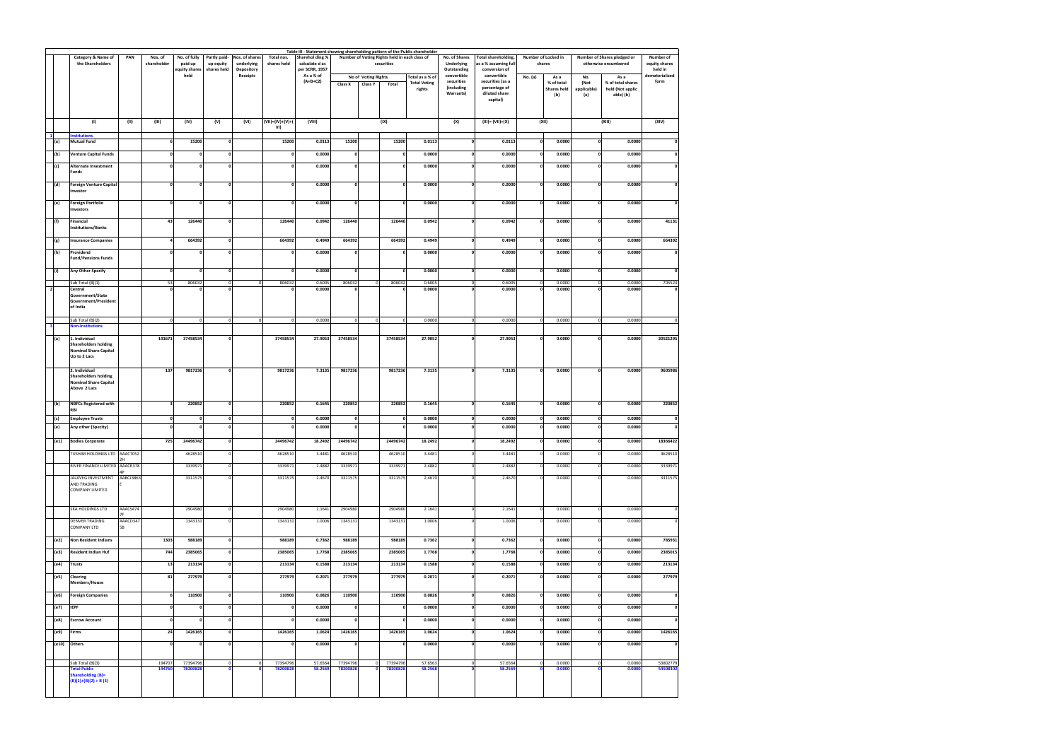|                     | Category & Name of                           | PAN                   | Nos. of                 | No. of fully          | Partly paid- | Nos. of shares             | Total nos.           | Sharehol ding %             | Table III - Statement showing shareholding pattern of the Public shareholder<br>Number of Voting Rights held in each class of |                                 |                                        | No. of Shares              | Total shareholding,            | Number of Locked in     |                                          | Number of Shares pledged or | Number of                 |                           |
|---------------------|----------------------------------------------|-----------------------|-------------------------|-----------------------|--------------|----------------------------|----------------------|-----------------------------|-------------------------------------------------------------------------------------------------------------------------------|---------------------------------|----------------------------------------|----------------------------|--------------------------------|-------------------------|------------------------------------------|-----------------------------|---------------------------|---------------------------|
|                     | the Shareholders                             |                       | shareholder             | paid up               | up equity    | underlying                 | shares held          | calculate d as              |                                                                                                                               | securities                      |                                        | <b>Underlying</b>          | as a % assuming full           |                         | shares                                   |                             | otherwise encumbered      | equity shares             |
|                     |                                              |                       |                         | equity shares<br>held | shares held  | Depository<br>Receipts     |                      | per SCRR, 1957<br>As a % of |                                                                                                                               |                                 |                                        | Outstanding<br>convertible | conversion of<br>convertible   |                         |                                          |                             |                           | held in<br>dematerialized |
|                     |                                              |                       |                         |                       |              |                            |                      | $(A+B+C2)$                  | No of Voting Rights<br>Class X<br><b>Class Y</b>                                                                              | Total                           | Total as a % of<br><b>Total Voting</b> | securities                 | securities (as a               | No. (a)                 | As a<br>% of total                       | No.<br>(Not                 | As a<br>% of total shares | form                      |
|                     |                                              |                       |                         |                       |              |                            |                      |                             |                                                                                                                               |                                 | rights                                 | (including<br>Warrants)    | percentage of<br>diluted share |                         | <b>Shares held</b>                       | applicable)                 | held (Not applic          |                           |
|                     |                                              |                       |                         |                       |              |                            |                      |                             |                                                                                                                               |                                 |                                        |                            | capital)                       |                         | (b)                                      | (a)                         | able) (b)                 |                           |
|                     |                                              |                       |                         |                       |              |                            |                      |                             |                                                                                                                               |                                 |                                        |                            |                                |                         |                                          |                             |                           |                           |
|                     | (1)                                          | (II)                  | (III)                   | (IV)                  | (V)          | (VI)                       | (VII)=(IV)+(V)+(     | (VIII)                      |                                                                                                                               | (IX)                            |                                        | (X)                        | $(XI) = (VII)+(X)$             |                         | (XII)                                    |                             | (XIII)                    | (XIV)                     |
|                     |                                              |                       |                         |                       |              |                            | VI)                  |                             |                                                                                                                               |                                 |                                        |                            |                                |                         |                                          |                             |                           |                           |
| $\mathbf{1}$<br>(a) | <b>Institutions</b><br><b>Mutual Fund</b>    |                       | 6                       | 15200                 | $\Omega$     |                            | 15200                | 0.0113                      | 15200                                                                                                                         | 15200                           | 0.0113                                 | $\mathbf{0}$               | 0.0113                         |                         | 0.0000<br>$\mathbf 0$                    | $\mathbf{0}$                | 0.0000                    | 0                         |
|                     |                                              |                       |                         |                       |              |                            |                      |                             |                                                                                                                               |                                 |                                        |                            |                                |                         |                                          |                             |                           |                           |
| (b)                 | <b>Venture Capital Funds</b>                 |                       | $\Omega$                | $\mathbf{0}$          |              | $\Omega$                   | $\mathbf{0}$         | 0.0000                      | O                                                                                                                             | $\mathbf{0}$                    | 0.0000                                 | $\mathbf 0$                | 0.0000                         |                         | $\mathbf 0$<br>0.0000                    | $\mathbf 0$                 | 0.0000                    | 0                         |
| (c)                 | <b>Alternate Investment</b>                  |                       | 0                       | $\mathbf{0}$          | $\mathbf{0}$ |                            | $\mathbf{0}$         | 0.0000                      | $\Omega$                                                                                                                      | $\mathbf{0}$                    | 0.0000                                 | $\mathbf 0$                | 0.0000                         |                         | 0.0000<br>$\mathbf 0$                    | $\mathbf 0$                 | 0.0000                    | $\mathbf{0}$              |
|                     | Funds                                        |                       |                         |                       |              |                            |                      |                             |                                                                                                                               |                                 |                                        |                            |                                |                         |                                          |                             |                           |                           |
| (d)                 | <b>Foreign Venture Capital</b>               |                       | $\Omega$                | $\mathbf{0}$          | $\mathbf{0}$ |                            | 0                    | 0.0000                      | $\mathbf{0}$                                                                                                                  | o                               | 0.0000                                 | $\mathbf{0}$               | 0.0000                         |                         | $\mathbf 0$<br>0.0000                    | $\mathbf 0$                 | 0.0000                    | $\mathbf{0}$              |
|                     | Investor                                     |                       |                         |                       |              |                            |                      |                             |                                                                                                                               |                                 |                                        |                            |                                |                         |                                          |                             |                           |                           |
| (e)                 | <b>Foreign Portfolio</b>                     |                       | $\Omega$                | o                     |              | n                          | $\Omega$             | 0.0000                      | $\Omega$                                                                                                                      | o                               | 0.0000                                 | $\mathbf 0$                | 0.0000                         |                         | 0.0000<br>$\mathbf 0$                    | $\mathbf{0}$                | 0.0000                    | $\pmb{\mathsf{o}}$        |
|                     | Investors                                    |                       |                         |                       |              |                            |                      |                             |                                                                                                                               |                                 |                                        |                            |                                |                         |                                          |                             |                           |                           |
| (f)                 | Financial                                    |                       | 43                      | 126440                | $\Omega$     |                            | 126440               | 0.0942                      | 126440                                                                                                                        | 126440                          | 0.0942                                 | $\mathbf{0}$               | 0.0942                         |                         | 0.0000<br>$\mathbf 0$                    | $\Omega$                    | 0.0000                    | 41131                     |
|                     | <b>Institutions/Banks</b>                    |                       |                         |                       |              |                            |                      |                             |                                                                                                                               |                                 |                                        |                            |                                |                         |                                          |                             |                           |                           |
| (g)                 | <b>Insurance Companies</b>                   |                       | $\Delta$                | 664392                | $\mathbf{0}$ |                            | 664392               | 0.4949                      | 664392                                                                                                                        | 664392                          | 0.4949                                 | $\mathbf{0}$               | 0.4949                         |                         | 0.0000<br>$\mathbf 0$                    | $\mathbf{0}$                | 0.0000                    | 664392                    |
| (h)                 | Providend                                    |                       | n                       | $\mathbf{0}$          | $\Omega$     |                            | 0                    | 0.0000                      | O                                                                                                                             | $\mathbf{0}$                    | 0.0000                                 | $\mathbf 0$                | 0.0000                         |                         | 0.0000<br>$\mathbf 0$                    | $\mathbf{0}$                | 0.0000                    | 0                         |
|                     | <b>Fund/Pensions Funds</b>                   |                       |                         |                       |              |                            |                      |                             |                                                                                                                               |                                 |                                        |                            |                                |                         |                                          |                             |                           |                           |
| (i)                 | Any Other Specify                            |                       | 0                       | 0                     | $\mathbf{0}$ |                            | ol                   | 0.0000                      | $\mathbf{0}$                                                                                                                  | 0                               | 0.0000                                 | $\mathbf{0}$               | 0.0000                         |                         | $\mathbf{0}$<br>0.0000                   | $\mathbf{0}$                | 0.0000                    | $\mathbf 0$               |
|                     | Sub Total (B)(1)                             |                       | 53                      | 806032                | $\Omega$     | $\Omega$                   | 806032               | 0.6005                      | 806032                                                                                                                        | 806032<br>$\circ$               | 0.6005                                 | $\circ$                    | 0.6005                         | $\overline{\mathbf{0}}$ | 0.0000                                   | $\mathbf 0$                 | 0.0000                    | 705523                    |
| $\overline{2}$      | Central                                      |                       | 0                       | $\Omega$              | $\mathbf{0}$ |                            | $\mathbf{0}$         | 0.0000                      |                                                                                                                               | 0                               | 0.0000                                 | $\mathbf 0$                | 0.0000                         |                         | $\mathbf 0$<br>0.0000                    | $\mathbf{0}$                | 0.0000                    | 0                         |
|                     | Government/State<br>Government/President     |                       |                         |                       |              |                            |                      |                             |                                                                                                                               |                                 |                                        |                            |                                |                         |                                          |                             |                           |                           |
|                     | of India                                     |                       |                         |                       |              |                            |                      |                             |                                                                                                                               |                                 |                                        |                            |                                |                         |                                          |                             |                           |                           |
|                     | Sub Total (B)(2)                             |                       | $\circ$                 | 0                     | $\Omega$     | $\circ$                    | $\circ$              | 0.0000                      | $\circ$                                                                                                                       | 0 <br> 0                        | 0.0000                                 | $\overline{0}$             | 0.0000                         |                         | 0.0000<br>$\mathbf 0$                    | $\circ$                     | 0.0000                    | 0                         |
|                     | <b>Von-Institutions</b>                      |                       |                         |                       |              |                            |                      |                             |                                                                                                                               |                                 |                                        |                            |                                |                         |                                          |                             |                           |                           |
| (a)                 | 1. Individual                                |                       | 191671                  | 37458534              | $\Omega$     |                            | 37458534             | 27.9053                     | 37458534                                                                                                                      | 37458534                        | 27.9052                                | $\Omega$                   | 27.9053                        |                         | 0.0000<br>$\Omega$                       | 0                           | 0.0000                    | 20521295                  |
|                     | <b>Shareholders holding</b>                  |                       |                         |                       |              |                            |                      |                             |                                                                                                                               |                                 |                                        |                            |                                |                         |                                          |                             |                           |                           |
|                     | <b>Nominal Share Capital</b><br>Up to 2 Lacs |                       |                         |                       |              |                            |                      |                             |                                                                                                                               |                                 |                                        |                            |                                |                         |                                          |                             |                           |                           |
|                     |                                              |                       |                         |                       |              |                            |                      |                             |                                                                                                                               |                                 |                                        |                            |                                |                         |                                          |                             |                           |                           |
|                     | 2. Individual<br><b>Shareholders holding</b> |                       | 137                     | 9817236               | $\Omega$     |                            | 9817236              | 7.3135                      | 9817236                                                                                                                       | 9817236                         | 7.3135                                 | $\mathbf{0}$               | 7.3135                         |                         | 0.0000<br>$\mathbf 0$                    | $\Omega$                    | 0.0000                    | 9605986                   |
|                     | <b>Nominal Share Capital</b>                 |                       |                         |                       |              |                            |                      |                             |                                                                                                                               |                                 |                                        |                            |                                |                         |                                          |                             |                           |                           |
|                     | Above 2 Lacs                                 |                       |                         |                       |              |                            |                      |                             |                                                                                                                               |                                 |                                        |                            |                                |                         |                                          |                             |                           |                           |
| (b)                 | <b>NBFCs Registered with</b>                 |                       | $\overline{\mathbf{3}}$ | 220852                | $\Omega$     |                            | 220852               | 0.1645                      | 220852                                                                                                                        | 220852                          | 0.1645                                 | $\mathbf 0$                | 0.1645                         |                         | 0.0000<br>$\mathbf 0$                    | $\mathbf 0$                 | 0.0000                    | 220852                    |
|                     | <b>RBI</b>                                   |                       |                         |                       |              |                            |                      |                             |                                                                                                                               |                                 |                                        |                            |                                |                         |                                          |                             |                           |                           |
| (c)                 | <b>Employee Trusts</b>                       |                       | $\Omega$                | $\mathbf{0}$          |              | $\mathbf{0}$               | 0                    | 0.0000                      | O                                                                                                                             | $\mathbf{0}$                    | 0.0000                                 | $\mathbf{0}$               | 0.0000                         |                         | $\mathbf 0$<br>0.0000                    | $\mathbf 0$                 | 0.0000                    | 0                         |
| (e)                 | Any other (Specity)                          |                       |                         | 0                     | $\mathbf{0}$ |                            | o                    | 0.0000                      |                                                                                                                               | o                               | 0.0000                                 | $\mathbf{0}$               | 0.0000                         | $\mathbf 0$             | 0.0000                                   | $\mathbf 0$                 | 0.0000                    | $\pmb{\mathsf{o}}$        |
| (e1)                | <b>Bodies Corporate</b>                      |                       | 725                     | 24496742              |              |                            | 24496742             | 18.2492                     | 24496742                                                                                                                      | 24496742                        | 18.2492                                | $\Omega$                   | 18.2492                        |                         | 0.0000<br>$\mathbf 0$                    | $\mathbf{0}$                | 0.0000                    | 18366422                  |
|                     |                                              |                       |                         |                       |              |                            |                      |                             |                                                                                                                               |                                 |                                        |                            |                                |                         |                                          |                             |                           |                           |
|                     | TUSHAR HOLDINGS LTD                          | AAACT052              |                         | 4628510               |              |                            | 4628510              | 3.4481                      | 4628510                                                                                                                       | 4628510                         | 3.4481                                 | $\mathbf 0$                | 3.4481                         |                         | 0.0000<br>$\mathbf 0$                    | $\Omega$                    | 0.0000                    | 4628510                   |
|                     | RIVER FINANCE LIMITED                        | AAACR378              |                         | 3339971               |              | $\Omega$                   | 3339971              | 2.4882                      | 3339971                                                                                                                       | 3339971                         | 2.4882                                 | $\mathbf 0$                | 2.4882                         |                         | 0.0000<br>$\mathbf 0$                    | $\Omega$                    | 0.0000                    | 3339971                   |
|                     | JALAVEG INVESTMENT                           | AABCJ3863             |                         | 3311575               | $\Omega$     |                            | 3311575              | 2.4670                      | 3311575                                                                                                                       | 3311575                         | 2.4670                                 | $\Omega$                   | 2.4670                         |                         | $\mathbf 0$<br>0.0000                    | $\Omega$                    | 0.0000                    | 3311575                   |
|                     | AND TRADING                                  |                       |                         |                       |              |                            |                      |                             |                                                                                                                               |                                 |                                        |                            |                                |                         |                                          |                             |                           |                           |
|                     | COMPANY LIMITED                              |                       |                         |                       |              |                            |                      |                             |                                                                                                                               |                                 |                                        |                            |                                |                         |                                          |                             |                           |                           |
|                     |                                              |                       |                         |                       |              |                            |                      |                             | 2904980                                                                                                                       |                                 |                                        |                            |                                |                         |                                          |                             |                           |                           |
|                     | SKA HOLDINGS LTD                             | AAACS474              |                         | 2904980               |              | $\mathbf 0$                | 2904980              | 2.1641                      |                                                                                                                               | 2904980                         | 2.1641                                 | $\overline{0}$             | 2.1641                         |                         | $\circ$<br>0.0000                        | 0                           | 0.0000                    | $\pmb{0}$                 |
|                     | <b>DENVER TRADING</b><br>COMPANY LTD         | AAACD347<br><b>5B</b> |                         | 1343131               | $\Omega$     |                            | 1343131              | 1.0006                      | 1343131                                                                                                                       | 1343131                         | 1.0006                                 | $\mathbf 0$                | 1.0006                         |                         | $\mathbf 0$<br>0.0000                    | $\Omega$                    | 0.0000                    | $\pmb{0}$                 |
|                     |                                              |                       |                         |                       |              |                            |                      |                             |                                                                                                                               |                                 |                                        |                            |                                |                         |                                          |                             |                           |                           |
| (e2)                | <b>Non Resident Indians</b>                  |                       | 1303                    | 988189                |              | $\mathbf 0$                | 988189               | 0.7362                      | 988189                                                                                                                        | 988189                          | 0.7362                                 | $\mathbf{0}$               | 0.7362                         |                         | 0.0000<br>$\mathbf 0$                    | 0                           | 0.0000                    | 785931                    |
| (e3)                | <b>Resident Indian Huf</b>                   |                       | 744                     | 2385065               |              | 0                          | 2385065              | 1.7768                      | 2385065                                                                                                                       | 2385065                         | 1.7768                                 | $\mathbf{0}$               | 1.7768                         |                         | $\mathbf 0$<br>0.0000                    | 0                           | 0.0000                    | 2385015                   |
| (e4)                | <b>Trusts</b>                                |                       | 13                      | 213134                |              | $\mathbf{0}$               | 213134               | 0.1588                      | 213134                                                                                                                        | 213134                          | 0.1588                                 | $\mathbf{0}$               | 0.1588                         |                         | $\mathbf 0$<br>0.0000                    | $\mathbf 0$                 | 0.0000                    | 213134                    |
|                     |                                              |                       |                         |                       |              |                            |                      |                             |                                                                                                                               |                                 |                                        |                            |                                |                         |                                          |                             |                           |                           |
| (e5)                | <b>Clearing</b><br><b>Members/House</b>      |                       | 81                      | 277979                |              | $\Omega$                   | 277979               | 0.2071                      | 277979                                                                                                                        | 277979                          | 0.2071                                 | $\mathbf{0}$               | 0.2071                         |                         | 0.0000<br>$\mathbf 0$                    | $\mathbf{0}$                | 0.0000                    | 277979                    |
|                     |                                              |                       | 6                       |                       |              | οl                         |                      |                             |                                                                                                                               |                                 |                                        |                            |                                |                         |                                          |                             |                           |                           |
| (e6)                | <b>Foreign Companies</b>                     |                       |                         | 110900                |              |                            | 110900               | 0.0826                      | 110900                                                                                                                        | 110900                          | 0.0826                                 | $\mathbf{0}$               | 0.0826                         |                         | $\mathbf 0$<br>0.0000                    | 0                           | 0.0000                    | $\pmb{0}$                 |
| (e7)                | <b>IEPF</b>                                  |                       | 0                       | $\mathbf{0}$          |              | $\mathbf{0}$               | 0                    | 0.0000                      | $\mathbf{0}$                                                                                                                  | 0                               | 0.0000                                 | $\mathbf{0}$               | 0.0000                         |                         | $\mathbf 0$<br>0.0000                    | $\mathbf 0$                 | 0.0000                    | 0                         |
| (e8)                | <b>Escrow Account</b>                        |                       | 0                       | $\mathbf{0}$          | $\mathbf{o}$ |                            | $\mathbf 0$          | 0.0000                      | $\Omega$                                                                                                                      | $\mathbf{0}$                    | 0.0000                                 | $\mathbf{0}$               | 0.0000                         |                         | $\mathbf 0$<br>0.0000                    | 0                           | 0.0000                    | $\pmb{0}$                 |
|                     |                                              |                       | 24                      |                       |              |                            |                      |                             |                                                                                                                               |                                 |                                        |                            |                                |                         |                                          | $\mathbf 0$                 |                           |                           |
| (e9)                | Firms                                        |                       |                         | 1426165               |              | 0                          | 1426165              | 1.0624                      | 1426165                                                                                                                       | 1426165                         | 1.0624                                 | $\mathbf{0}$               | 1.0624                         |                         | $\mathbf{o}$<br>0.0000                   |                             | 0.0000                    | 1426165                   |
|                     | (e10) Others                                 |                       | $\mathbf 0$             | $\mathbf 0$           | $\mathbf 0$  |                            | $\mathbf 0$          | 0.0000                      | $\Omega$                                                                                                                      | $\mathbf{0}$                    | 0.0000                                 | $\mathbf{0}$               | 0.0000                         |                         | $\mathbf 0$<br>0.0000                    | $\mathbf 0$                 | 0.0000                    | $\pmb{\mathsf{o}}$        |
|                     |                                              |                       |                         |                       |              |                            |                      |                             |                                                                                                                               |                                 |                                        |                            |                                |                         |                                          |                             |                           |                           |
|                     | Sub Total (B)(3)<br><b>Total Public</b>      |                       | 194707<br>194760        | 77394796<br>78200828  | $\Omega$     | $\mathbf 0$<br>$\mathbf 0$ | 77394796<br>78200828 | 57.6564<br>58.2569          | 77394796<br>78200828                                                                                                          | 77394796<br>$\circ$<br>78200828 | 57.6563<br>58.2568                     | $\circ$<br>$\mathbf{0}$    | 57.6564<br>58.2569             |                         | $\circ$<br>0.0000<br>$\bullet$<br>0.0000 | $\circ$<br>o                | 0.0000<br>0.0000          | 53802779<br>54508302      |
|                     | <b>Shareholding (B)=</b>                     |                       |                         |                       |              |                            |                      |                             |                                                                                                                               |                                 |                                        |                            |                                |                         |                                          |                             |                           |                           |
|                     | $(B)(1)+(B)(2) + B(3)$                       |                       |                         |                       |              |                            |                      |                             |                                                                                                                               |                                 |                                        |                            |                                |                         |                                          |                             |                           |                           |
|                     |                                              |                       |                         |                       |              |                            |                      |                             |                                                                                                                               |                                 |                                        |                            |                                |                         |                                          |                             |                           |                           |